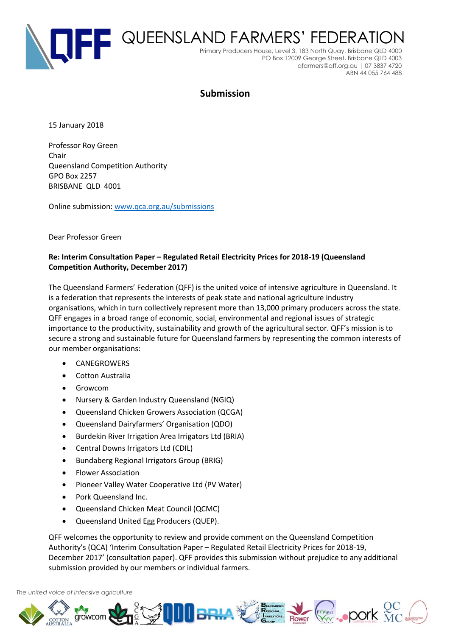

# **Submission**

15 January 2018

Professor Roy Green Chair Queensland Competition Authority GPO Box 2257 BRISBANE QLD 4001

Online submission[: www.qca.org.au/submissions](http://www.qca.org.au/submissions)

Dear Professor Green

### **Re: Interim Consultation Paper – Regulated Retail Electricity Prices for 2018-19 (Queensland Competition Authority, December 2017)**

The Queensland Farmers' Federation (QFF) is the united voice of intensive agriculture in Queensland. It is a federation that represents the interests of peak state and national agriculture industry organisations, which in turn collectively represent more than 13,000 primary producers across the state. QFF engages in a broad range of economic, social, environmental and regional issues of strategic importance to the productivity, sustainability and growth of the agricultural sector. QFF's mission is to secure a strong and sustainable future for Queensland farmers by representing the common interests of our member organisations:

- CANEGROWERS
- Cotton Australia
- Growcom
- Nursery & Garden Industry Queensland (NGIQ)
- Queensland Chicken Growers Association (QCGA)
- Queensland Dairyfarmers' Organisation (QDO)
- Burdekin River Irrigation Area Irrigators Ltd (BRIA)
- Central Downs Irrigators Ltd (CDIL)
- Bundaberg Regional Irrigators Group (BRIG)
- Flower Association
- Pioneer Valley Water Cooperative Ltd (PV Water)
- Pork Queensland Inc.
- Queensland Chicken Meat Council (QCMC)
- Queensland United Egg Producers (QUEP).

QFF welcomes the opportunity to review and provide comment on the Queensland Competition Authority's (QCA) 'Interim Consultation Paper – Regulated Retail Electricity Prices for 2018-19, December 2017' (consultation paper). QFF provides this submission without prejudice to any additional submission provided by our members or individual farmers.

#### *The united voice of intensive agriculture*

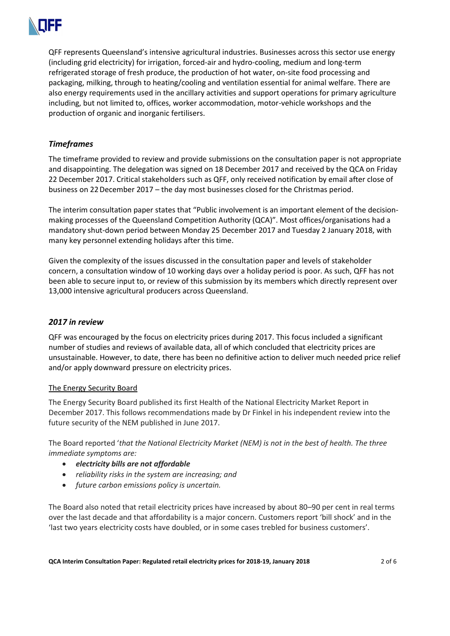

QFF represents Queensland's intensive agricultural industries. Businesses across this sector use energy (including grid electricity) for irrigation, forced-air and hydro-cooling, medium and long-term refrigerated storage of fresh produce, the production of hot water, on-site food processing and packaging, milking, through to heating/cooling and ventilation essential for animal welfare. There are also energy requirements used in the ancillary activities and support operations for primary agriculture including, but not limited to, offices, worker accommodation, motor-vehicle workshops and the production of organic and inorganic fertilisers.

# *Timeframes*

The timeframe provided to review and provide submissions on the consultation paper is not appropriate and disappointing. The delegation was signed on 18 December 2017 and received by the QCA on Friday 22 December 2017. Critical stakeholders such as QFF, only received notification by email after close of business on 22December 2017 – the day most businesses closed for the Christmas period.

The interim consultation paper states that "Public involvement is an important element of the decisionmaking processes of the Queensland Competition Authority (QCA)". Most offices/organisations had a mandatory shut-down period between Monday 25 December 2017 and Tuesday 2 January 2018, with many key personnel extending holidays after this time.

Given the complexity of the issues discussed in the consultation paper and levels of stakeholder concern, a consultation window of 10 working days over a holiday period is poor. As such, QFF has not been able to secure input to, or review of this submission by its members which directly represent over 13,000 intensive agricultural producers across Queensland.

## *2017 in review*

QFF was encouraged by the focus on electricity prices during 2017. This focus included a significant number of studies and reviews of available data, all of which concluded that electricity prices are unsustainable. However, to date, there has been no definitive action to deliver much needed price relief and/or apply downward pressure on electricity prices.

#### The Energy Security Board

The Energy Security Board published its first Health of the National Electricity Market Report in December 2017. This follows recommendations made by Dr Finkel in his independent review into the future security of the NEM published in June 2017.

The Board reported '*that the National Electricity Market (NEM) is not in the best of health. The three immediate symptoms are:* 

- *electricity bills are not affordable*
- *reliability risks in the system are increasing; and*
- *future carbon emissions policy is uncertain.*

The Board also noted that retail electricity prices have increased by about 80–90 per cent in real terms over the last decade and that affordability is a major concern. Customers report 'bill shock' and in the 'last two years electricity costs have doubled, or in some cases trebled for business customers'.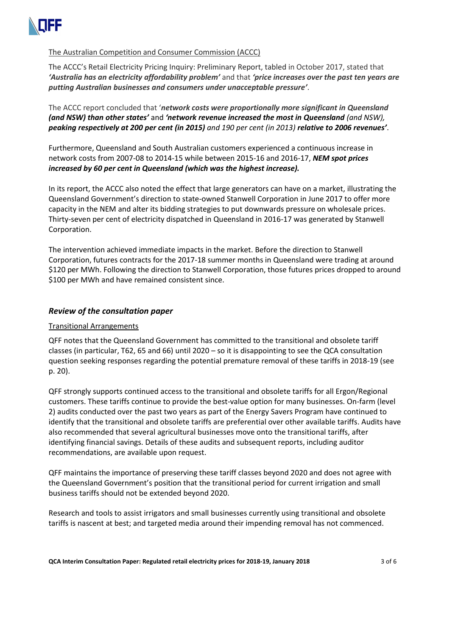

## The Australian Competition and Consumer Commission (ACCC)

The ACCC's Retail Electricity Pricing Inquiry: Preliminary Report, tabled in October 2017, stated that *'Australia has an electricity affordability problem'* and that *'price increases over the past ten years are putting Australian businesses and consumers under unacceptable pressure'*.

The ACCC report concluded that '*network costs were proportionally more significant in Queensland (and NSW) than other states'* and *'network revenue increased the most in Queensland (and NSW), peaking respectively at 200 per cent (in 2015) and 190 per cent (in 2013) relative to 2006 revenues'*.

Furthermore, Queensland and South Australian customers experienced a continuous increase in network costs from 2007-08 to 2014-15 while between 2015-16 and 2016-17, *NEM spot prices increased by 60 per cent in Queensland (which was the highest increase).*

In its report, the ACCC also noted the effect that large generators can have on a market, illustrating the Queensland Government's direction to state-owned Stanwell Corporation in June 2017 to offer more capacity in the NEM and alter its bidding strategies to put downwards pressure on wholesale prices. Thirty-seven per cent of electricity dispatched in Queensland in 2016-17 was generated by Stanwell Corporation.

The intervention achieved immediate impacts in the market. Before the direction to Stanwell Corporation, futures contracts for the 2017-18 summer months in Queensland were trading at around \$120 per MWh. Following the direction to Stanwell Corporation, those futures prices dropped to around \$100 per MWh and have remained consistent since.

### *Review of the consultation paper*

#### Transitional Arrangements

QFF notes that the Queensland Government has committed to the transitional and obsolete tariff classes (in particular, T62, 65 and 66) until 2020 – so it is disappointing to see the QCA consultation question seeking responses regarding the potential premature removal of these tariffs in 2018-19 (see p. 20).

QFF strongly supports continued access to the transitional and obsolete tariffs for all Ergon/Regional customers. These tariffs continue to provide the best-value option for many businesses. On-farm (level 2) audits conducted over the past two years as part of the Energy Savers Program have continued to identify that the transitional and obsolete tariffs are preferential over other available tariffs. Audits have also recommended that several agricultural businesses move onto the transitional tariffs, after identifying financial savings. Details of these audits and subsequent reports, including auditor recommendations, are available upon request.

QFF maintains the importance of preserving these tariff classes beyond 2020 and does not agree with the Queensland Government's position that the transitional period for current irrigation and small business tariffs should not be extended beyond 2020.

Research and tools to assist irrigators and small businesses currently using transitional and obsolete tariffs is nascent at best; and targeted media around their impending removal has not commenced.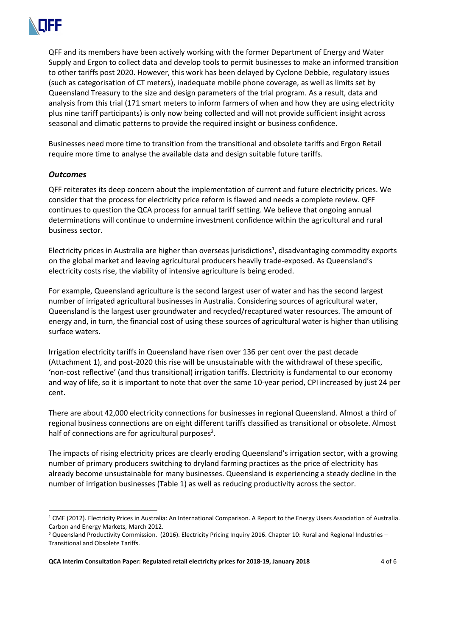

QFF and its members have been actively working with the former Department of Energy and Water Supply and Ergon to collect data and develop tools to permit businesses to make an informed transition to other tariffs post 2020. However, this work has been delayed by Cyclone Debbie, regulatory issues (such as categorisation of CT meters), inadequate mobile phone coverage, as well as limits set by Queensland Treasury to the size and design parameters of the trial program. As a result, data and analysis from this trial (171 smart meters to inform farmers of when and how they are using electricity plus nine tariff participants) is only now being collected and will not provide sufficient insight across seasonal and climatic patterns to provide the required insight or business confidence.

Businesses need more time to transition from the transitional and obsolete tariffs and Ergon Retail require more time to analyse the available data and design suitable future tariffs.

### *Outcomes*

QFF reiterates its deep concern about the implementation of current and future electricity prices. We consider that the process for electricity price reform is flawed and needs a complete review. QFF continues to question the QCA process for annual tariff setting. We believe that ongoing annual determinations will continue to undermine investment confidence within the agricultural and rural business sector.

Electricity prices in Australia are higher than overseas jurisdictions<sup>1</sup>, disadvantaging commodity exports on the global market and leaving agricultural producers heavily trade-exposed. As Queensland's electricity costs rise, the viability of intensive agriculture is being eroded.

For example, Queensland agriculture is the second largest user of water and has the second largest number of irrigated agricultural businesses in Australia. Considering sources of agricultural water, Queensland is the largest user groundwater and recycled/recaptured water resources. The amount of energy and, in turn, the financial cost of using these sources of agricultural water is higher than utilising surface waters.

Irrigation electricity tariffs in Queensland have risen over 136 per cent over the past decade (Attachment 1), and post-2020 this rise will be unsustainable with the withdrawal of these specific, 'non-cost reflective' (and thus transitional) irrigation tariffs. Electricity is fundamental to our economy and way of life, so it is important to note that over the same 10-year period, CPI increased by just 24 per cent.

There are about 42,000 electricity connections for businesses in regional Queensland. Almost a third of regional business connections are on eight different tariffs classified as transitional or obsolete. Almost half of connections are for agricultural purposes<sup>2</sup>.

The impacts of rising electricity prices are clearly eroding Queensland's irrigation sector, with a growing number of primary producers switching to dryland farming practices as the price of electricity has already become unsustainable for many businesses. Queensland is experiencing a steady decline in the number of irrigation businesses (Table 1) as well as reducing productivity across the sector.

<sup>&</sup>lt;sup>1</sup> CME (2012). Electricity Prices in Australia: An International Comparison. A Report to the Energy Users Association of Australia. Carbon and Energy Markets, March 2012.

<sup>2</sup> Queensland Productivity Commission. (2016). Electricity Pricing Inquiry 2016. Chapter 10: Rural and Regional Industries – Transitional and Obsolete Tariffs.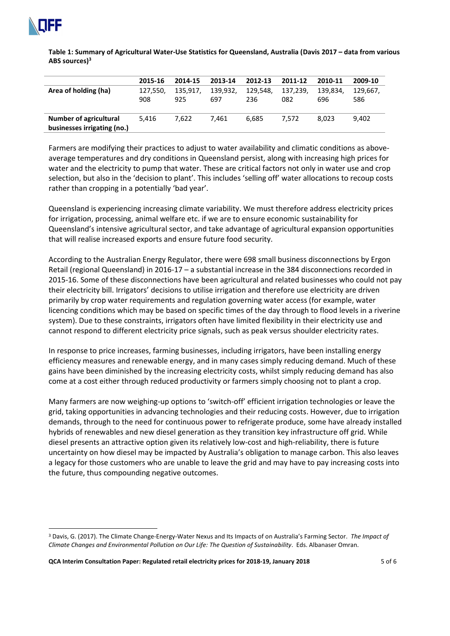

**Table 1: Summary of Agricultural Water-Use Statistics for Queensland, Australia (Davis 2017 – data from various ABS sources)<sup>3</sup>**

|                             | 2015-16  | 2014-15  | 2013-14  | 2012-13  | 2011-12  | 2010-11  | 2009-10  |
|-----------------------------|----------|----------|----------|----------|----------|----------|----------|
| Area of holding (ha)        | 127.550. | 135.917. | 139.932. | 129.548. | 137,239, | 139.834. | 129.667. |
|                             | 908      | 925      | 697      | 236      | 082      | 696      | 586      |
|                             |          |          |          |          |          |          |          |
| Number of agricultural      | 5.416    | 7.622    | 7.461    | 6.685    | 7.572    | 8.023    | 9.402    |
| businesses irrigating (no.) |          |          |          |          |          |          |          |

Farmers are modifying their practices to adjust to water availability and climatic conditions as aboveaverage temperatures and dry conditions in Queensland persist, along with increasing high prices for water and the electricity to pump that water. These are critical factors not only in water use and crop selection, but also in the 'decision to plant'. This includes 'selling off' water allocations to recoup costs rather than cropping in a potentially 'bad year'.

Queensland is experiencing increasing climate variability. We must therefore address electricity prices for irrigation, processing, animal welfare etc. if we are to ensure economic sustainability for Queensland's intensive agricultural sector, and take advantage of agricultural expansion opportunities that will realise increased exports and ensure future food security.

According to the Australian Energy Regulator, there were 698 small business disconnections by Ergon Retail (regional Queensland) in 2016-17 – a substantial increase in the 384 disconnections recorded in 2015-16. Some of these disconnections have been agricultural and related businesses who could not pay their electricity bill. Irrigators' decisions to utilise irrigation and therefore use electricity are driven primarily by crop water requirements and regulation governing water access (for example, water licencing conditions which may be based on specific times of the day through to flood levels in a riverine system). Due to these constraints, irrigators often have limited flexibility in their electricity use and cannot respond to different electricity price signals, such as peak versus shoulder electricity rates.

In response to price increases, farming businesses, including irrigators, have been installing energy efficiency measures and renewable energy, and in many cases simply reducing demand. Much of these gains have been diminished by the increasing electricity costs, whilst simply reducing demand has also come at a cost either through reduced productivity or farmers simply choosing not to plant a crop.

Many farmers are now weighing-up options to 'switch-off' efficient irrigation technologies or leave the grid, taking opportunities in advancing technologies and their reducing costs. However, due to irrigation demands, through to the need for continuous power to refrigerate produce, some have already installed hybrids of renewables and new diesel generation as they transition key infrastructure off grid. While diesel presents an attractive option given its relatively low-cost and high-reliability, there is future uncertainty on how diesel may be impacted by Australia's obligation to manage carbon. This also leaves a legacy for those customers who are unable to leave the grid and may have to pay increasing costs into the future, thus compounding negative outcomes.

<sup>3</sup> Davis, G. (2017). The Climate Change-Energy-Water Nexus and Its Impacts of on Australia's Farming Sector. *The Impact of Climate Changes and Environmental Pollution on Our Life: The Question of Sustainability*. Eds. Albanaser Omran.